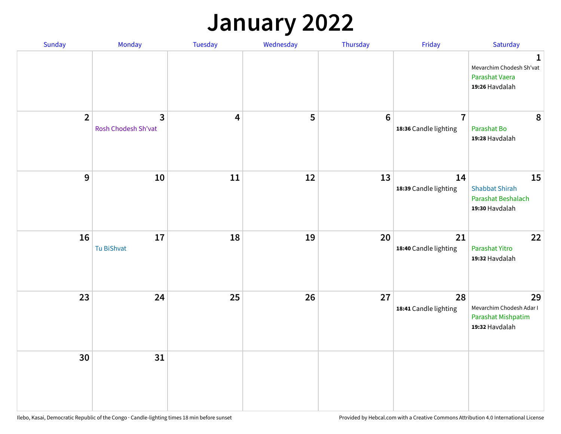## **January 2022**

| Sunday         | Monday                              | Tuesday | Wednesday | Thursday        | Friday                                  | Saturday                                                                     |
|----------------|-------------------------------------|---------|-----------|-----------------|-----------------------------------------|------------------------------------------------------------------------------|
|                |                                     |         |           |                 |                                         | $\mathbf{1}$<br>Mevarchim Chodesh Sh'vat<br>Parashat Vaera<br>19:26 Havdalah |
| $\overline{2}$ | $\mathbf{3}$<br>Rosh Chodesh Sh'vat | 4       | 5         | $6\phantom{1}6$ | $\overline{7}$<br>18:36 Candle lighting | 8<br>Parashat Bo<br>19:28 Havdalah                                           |
| $\mathbf{9}$   | ${\bf 10}$                          | 11      | 12        | 13              | 14<br>18:39 Candle lighting             | 15<br><b>Shabbat Shirah</b><br>Parashat Beshalach<br>19:30 Havdalah          |
| 16             | 17<br>Tu BiShvat                    | 18      | 19        | 20              | 21<br>18:40 Candle lighting             | 22<br>Parashat Yitro<br>19:32 Havdalah                                       |
| 23             | 24                                  | 25      | 26        | 27              | 28<br>18:41 Candle lighting             | 29<br>Mevarchim Chodesh Adar I<br>Parashat Mishpatim<br>19:32 Havdalah       |
| 30             | 31                                  |         |           |                 |                                         |                                                                              |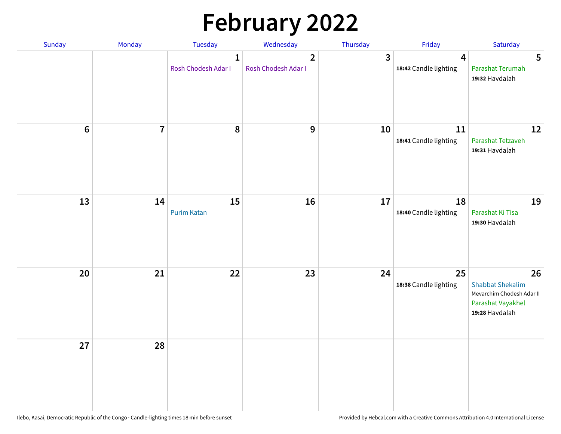# **February 2022**

| Sunday           | Monday         | Tuesday                             | Wednesday                             | Thursday                | Friday                                           | Saturday                                                                                          |
|------------------|----------------|-------------------------------------|---------------------------------------|-------------------------|--------------------------------------------------|---------------------------------------------------------------------------------------------------|
|                  |                | $\mathbf{1}$<br>Rosh Chodesh Adar I | $\overline{2}$<br>Rosh Chodesh Adar I | $\overline{\mathbf{3}}$ | $\overline{\mathbf{4}}$<br>18:42 Candle lighting | 5<br>Parashat Terumah<br>19:32 Havdalah                                                           |
| $\boldsymbol{6}$ | $\overline{7}$ | 8                                   | $\boldsymbol{9}$                      | 10                      | 11<br>18:41 Candle lighting                      | 12<br>Parashat Tetzaveh<br>19:31 Havdalah                                                         |
| 13               | 14             | 15<br><b>Purim Katan</b>            | 16                                    | 17                      | 18<br>18:40 Candle lighting                      | 19<br>Parashat Ki Tisa<br>19:30 Havdalah                                                          |
| 20               | 21             | 22                                  | 23                                    | 24                      | 25<br>18:38 Candle lighting                      | 26<br><b>Shabbat Shekalim</b><br>Mevarchim Chodesh Adar II<br>Parashat Vayakhel<br>19:28 Havdalah |
| 27               | 28             |                                     |                                       |                         |                                                  |                                                                                                   |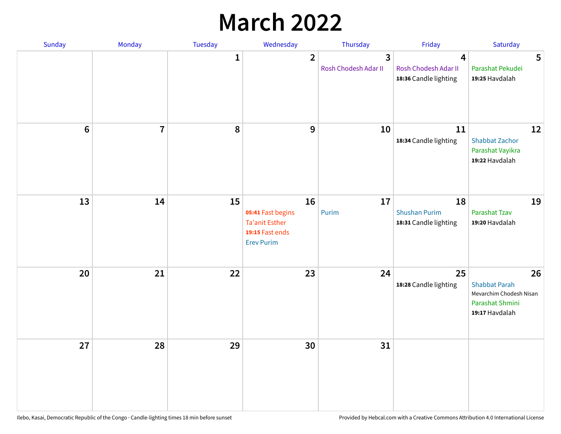## **March 2022**

| Sunday         | Monday         | Tuesday      | Wednesday                                                                                | Thursday                  | Friday                                              | Saturday                                                                                   |
|----------------|----------------|--------------|------------------------------------------------------------------------------------------|---------------------------|-----------------------------------------------------|--------------------------------------------------------------------------------------------|
|                |                | $\mathbf{1}$ | $\overline{2}$                                                                           | 3<br>Rosh Chodesh Adar II | 4<br>Rosh Chodesh Adar II<br>18:36 Candle lighting  | 5<br>Parashat Pekudei<br>19:25 Havdalah                                                    |
| $6\phantom{1}$ | $\overline{7}$ | 8            | $9$                                                                                      | 10                        | 11<br>18:34 Candle lighting                         | 12<br><b>Shabbat Zachor</b><br>Parashat Vayikra<br>19:22 Havdalah                          |
| 13             | 14             | 15           | 16<br>05:41 Fast begins<br><b>Ta'anit Esther</b><br>19:15 Fast ends<br><b>Erev Purim</b> | 17<br>Purim               | 18<br><b>Shushan Purim</b><br>18:31 Candle lighting | 19<br>Parashat Tzav<br>19:20 Havdalah                                                      |
| 20             | 21             | 22           | 23                                                                                       | 24                        | 25<br>18:28 Candle lighting                         | 26<br><b>Shabbat Parah</b><br>Mevarchim Chodesh Nisan<br>Parashat Shmini<br>19:17 Havdalah |
| 27             | 28             | 29           | 30                                                                                       | 31                        |                                                     |                                                                                            |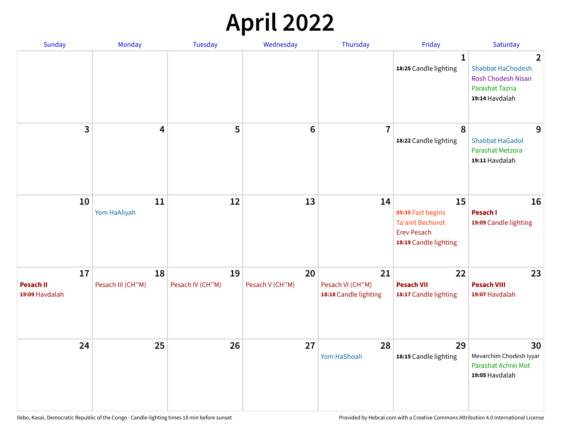## **April 2022**

| Sunday                                   | Monday                  | <b>Tuesday</b>         | Wednesday             | Thursday                                        | Friday                                                                                            | Saturday                                                                                        |
|------------------------------------------|-------------------------|------------------------|-----------------------|-------------------------------------------------|---------------------------------------------------------------------------------------------------|-------------------------------------------------------------------------------------------------|
|                                          |                         |                        |                       |                                                 | $\mathbf{1}$<br>18:25 Candle lighting                                                             | 2<br><b>Shabbat HaChodesh</b><br><b>Rosh Chodesh Nisan</b><br>Parashat Tazria<br>19:14 Havdalah |
| 3                                        | 4                       | 5                      | $6\phantom{1}6$       | $\overline{7}$                                  | 8<br>18:22 Candle lighting                                                                        | 9<br><b>Shabbat HaGadol</b><br>Parashat Metzora<br>19:11 Havdalah                               |
| 10                                       | 11<br>Yom HaAliyah      | 12                     | 13                    | 14                                              | 15<br>05:35 Fast begins<br><b>Ta'anit Bechorot</b><br><b>Erev Pesach</b><br>18:19 Candle lighting | 16<br>Pesach I<br>19:09 Candle lighting                                                         |
| 17<br><b>Pesach II</b><br>19:09 Havdalah | 18<br>Pesach III (CH"M) | 19<br>Pesach IV (CH"M) | 20<br>Pesach V (CH"M) | 21<br>Pesach VI (CH"M)<br>18:18 Candle lighting | 22<br><b>Pesach VII</b><br>18:17 Candle lighting                                                  | 23<br><b>Pesach VIII</b><br>19:07 Havdalah                                                      |
| 24                                       | 25                      | 26                     | 27                    | 28<br>Yom HaShoah                               | 29<br>18:15 Candle lighting                                                                       | 30<br>Mevarchim Chodesh Iyyar<br>Parashat Achrei Mot<br>19:05 Havdalah                          |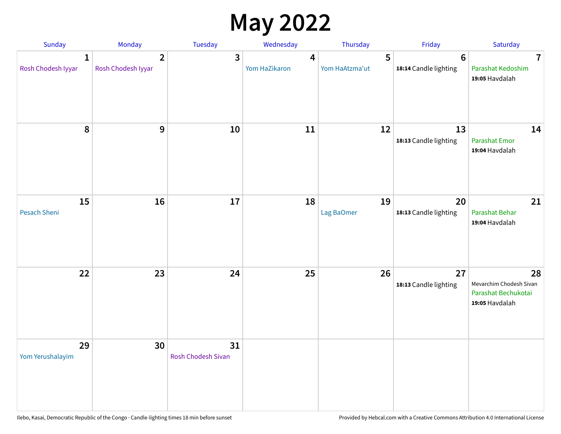## **May 2022**

| Sunday                             | Monday                               | Tuesday                         | Wednesday          | Thursday            | Friday                                  | Saturday                                                               |
|------------------------------------|--------------------------------------|---------------------------------|--------------------|---------------------|-----------------------------------------|------------------------------------------------------------------------|
| $\mathbf{1}$<br>Rosh Chodesh Iyyar | $\overline{2}$<br>Rosh Chodesh Iyyar | 3                               | 4<br>Yom HaZikaron | 5<br>Yom HaAtzma'ut | $6\phantom{1}$<br>18:14 Candle lighting | $\overline{7}$<br>Parashat Kedoshim<br>19:05 Havdalah                  |
| 8                                  | 9                                    | 10                              | 11                 | 12                  | 13<br>18:13 Candle lighting             | 14<br>Parashat Emor<br>19:04 Havdalah                                  |
| 15<br>Pesach Sheni                 | 16                                   | 17                              | 18                 | 19<br>Lag BaOmer    | 20<br>18:13 Candle lighting             | 21<br>Parashat Behar<br>19:04 Havdalah                                 |
| 22                                 | 23                                   | 24                              | 25                 | 26                  | 27<br>18:13 Candle lighting             | 28<br>Mevarchim Chodesh Sivan<br>Parashat Bechukotai<br>19:05 Havdalah |
| 29<br>Yom Yerushalayim             | 30                                   | 31<br><b>Rosh Chodesh Sivan</b> |                    |                     |                                         |                                                                        |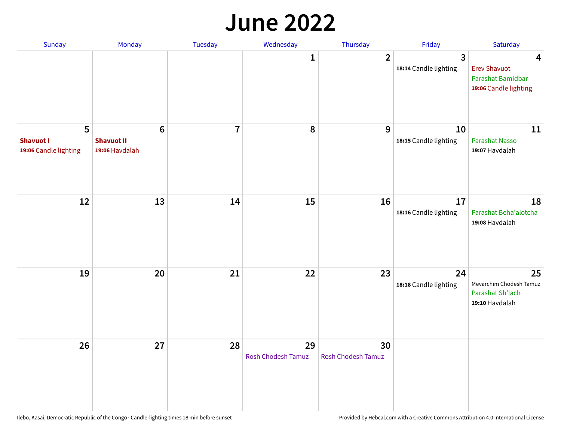#### **June 2022**

| Sunday                                         | Monday                                         | Tuesday        | Wednesday                       | Thursday                        | Friday                      | Saturday                                                               |
|------------------------------------------------|------------------------------------------------|----------------|---------------------------------|---------------------------------|-----------------------------|------------------------------------------------------------------------|
|                                                |                                                |                | 1                               | $\overline{2}$                  | 3<br>18:14 Candle lighting  | 4<br><b>Erev Shavuot</b><br>Parashat Bamidbar<br>19:06 Candle lighting |
| 5<br><b>Shavuot I</b><br>19:06 Candle lighting | $\bf 6$<br><b>Shavuot II</b><br>19:06 Havdalah | $\overline{7}$ | 8                               | 9                               | 10<br>18:15 Candle lighting | 11<br>Parashat Nasso<br>19:07 Havdalah                                 |
| 12                                             | 13                                             | 14             | 15                              | 16                              | 17<br>18:16 Candle lighting | 18<br>Parashat Beha'alotcha<br>19:08 Havdalah                          |
| 19                                             | 20                                             | 21             | 22                              | 23                              | 24<br>18:18 Candle lighting | 25<br>Mevarchim Chodesh Tamuz<br>Parashat Sh'lach<br>19:10 Havdalah    |
| 26                                             | 27                                             | 28             | 29<br><b>Rosh Chodesh Tamuz</b> | 30<br><b>Rosh Chodesh Tamuz</b> |                             |                                                                        |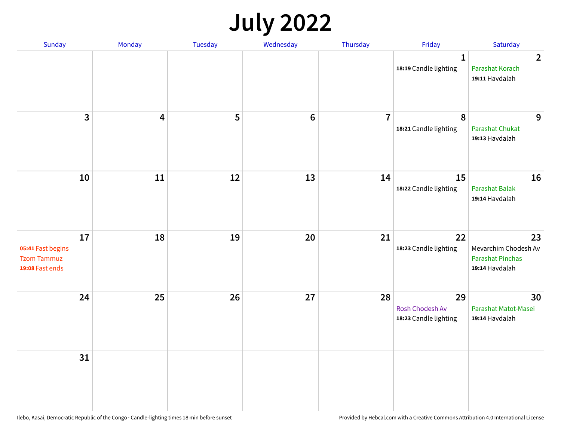## **July 2022**

| Sunday                                                           | Monday                  | Tuesday | Wednesday | Thursday       | Friday                                                | Saturday                                                                |
|------------------------------------------------------------------|-------------------------|---------|-----------|----------------|-------------------------------------------------------|-------------------------------------------------------------------------|
|                                                                  |                         |         |           |                | $\mathbf{1}$<br>18:19 Candle lighting                 | $\overline{2}$<br>Parashat Korach<br>19:11 Havdalah                     |
| $\mathbf{3}$                                                     | $\overline{\mathbf{4}}$ | 5       | $\bf 6$   | $\overline{7}$ | 8<br>18:21 Candle lighting                            | 9<br>Parashat Chukat<br>19:13 Havdalah                                  |
| ${\bf 10}$                                                       | 11                      | 12      | 13        | 14             | 15<br>18:22 Candle lighting                           | 16<br><b>Parashat Balak</b><br>19:14 Havdalah                           |
| 17<br>05:41 Fast begins<br><b>Tzom Tammuz</b><br>19:08 Fast ends | 18                      | 19      | 20        | 21             | 22<br>18:23 Candle lighting                           | 23<br>Mevarchim Chodesh Av<br><b>Parashat Pinchas</b><br>19:14 Havdalah |
| 24                                                               | 25                      | 26      | 27        | 28             | 29<br><b>Rosh Chodesh Av</b><br>18:23 Candle lighting | 30<br>Parashat Matot-Masei<br>19:14 Havdalah                            |
| 31                                                               |                         |         |           |                |                                                       |                                                                         |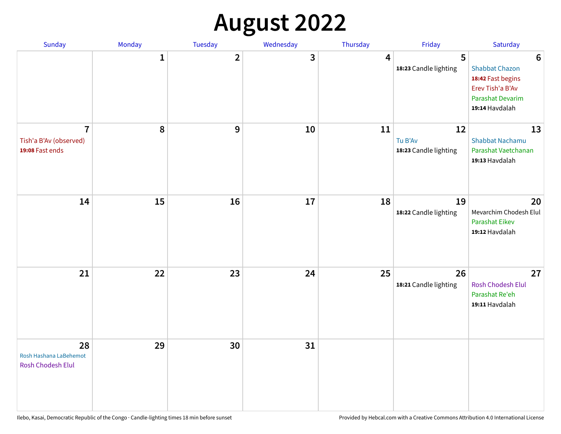# **August 2022**

| Sunday                                                      | Monday       | Tuesday                 | Wednesday | Thursday | Friday                                 | Saturday                                                                                                                       |
|-------------------------------------------------------------|--------------|-------------------------|-----------|----------|----------------------------------------|--------------------------------------------------------------------------------------------------------------------------------|
|                                                             | $\mathbf{1}$ | $\overline{\mathbf{2}}$ | 3         | 4        | 5<br>18:23 Candle lighting             | $6\phantom{1}6$<br><b>Shabbat Chazon</b><br>18:42 Fast begins<br>Erev Tish'a B'Av<br><b>Parashat Devarim</b><br>19:14 Havdalah |
| $\overline{7}$<br>Tish'a B'Av (observed)<br>19:08 Fast ends | 8            | 9                       | 10        | 11       | 12<br>Tu B'Av<br>18:23 Candle lighting | 13<br><b>Shabbat Nachamu</b><br>Parashat Vaetchanan<br>19:13 Havdalah                                                          |
| 14                                                          | 15           | 16                      | 17        | 18       | 19<br>18:22 Candle lighting            | 20<br>Mevarchim Chodesh Elul<br>Parashat Eikev<br>19:12 Havdalah                                                               |
| 21                                                          | 22           | 23                      | 24        | 25       | 26<br>18:21 Candle lighting            | 27<br><b>Rosh Chodesh Elul</b><br>Parashat Re'eh<br>19:11 Havdalah                                                             |
| 28<br>Rosh Hashana LaBehemot<br>Rosh Chodesh Elul           | 29           | 30                      | 31        |          |                                        |                                                                                                                                |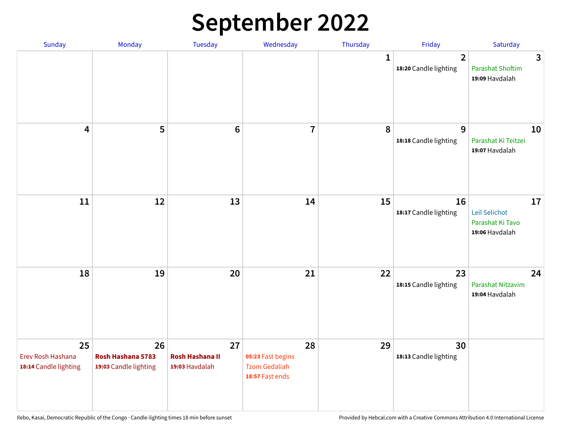## **September 2022**

| Sunday                                           | Monday                                           | <b>Tuesday</b>                                 | Wednesday                                                          | Thursday    | Friday                                  | Saturday                                                  |
|--------------------------------------------------|--------------------------------------------------|------------------------------------------------|--------------------------------------------------------------------|-------------|-----------------------------------------|-----------------------------------------------------------|
|                                                  |                                                  |                                                |                                                                    | $\mathbf 1$ | $\overline{2}$<br>18:20 Candle lighting | 3<br><b>Parashat Shoftim</b><br>19:09 Havdalah            |
| $\overline{\mathbf{4}}$                          | 5                                                | $6\phantom{1}6$                                | $\overline{7}$                                                     | 8           | 9<br>18:18 Candle lighting              | 10<br>Parashat Ki Teitzei<br>19:07 Havdalah               |
| 11                                               | 12                                               | 13                                             | 14                                                                 | 15          | 16<br>18:17 Candle lighting             | 17<br>Leil Selichot<br>Parashat Ki Tavo<br>19:06 Havdalah |
| 18                                               | 19                                               | 20                                             | 21                                                                 | 22          | 23<br>18:15 Candle lighting             | 24<br>Parashat Nitzavim<br>19:04 Havdalah                 |
| 25<br>Erev Rosh Hashana<br>18:14 Candle lighting | 26<br>Rosh Hashana 5783<br>19:03 Candle lighting | 27<br><b>Rosh Hashana II</b><br>19:03 Havdalah | 28<br>05:23 Fast begins<br><b>Tzom Gedaliah</b><br>18:57 Fast ends | 29          | 30<br>18:13 Candle lighting             |                                                           |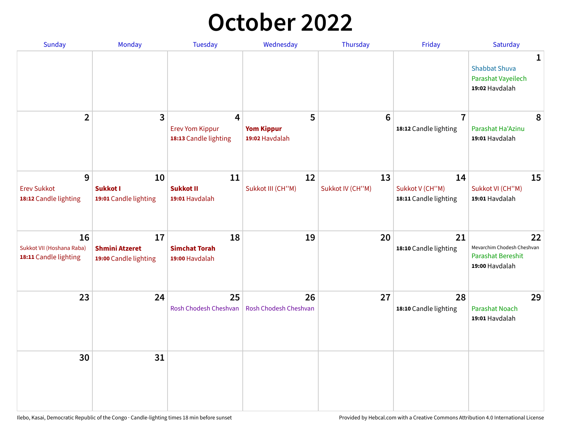## **October 2022**

| <b>Sunday</b>                                            | Monday                                               | <b>Tuesday</b>                                       | Wednesday                                | Thursday               | Friday                                         | Saturday                                                                |
|----------------------------------------------------------|------------------------------------------------------|------------------------------------------------------|------------------------------------------|------------------------|------------------------------------------------|-------------------------------------------------------------------------|
|                                                          |                                                      |                                                      |                                          |                        |                                                | 1<br><b>Shabbat Shuva</b><br>Parashat Vayeilech<br>19:02 Havdalah       |
| $\overline{2}$                                           | 3                                                    | 4<br><b>Erev Yom Kippur</b><br>18:13 Candle lighting | 5<br><b>Yom Kippur</b><br>19:02 Havdalah | 6                      | $\overline{7}$<br>18:12 Candle lighting        | 8<br>Parashat Ha'Azinu<br>19:01 Havdalah                                |
| 9<br><b>Erev Sukkot</b><br>18:12 Candle lighting         | 10<br><b>Sukkot I</b><br>19:01 Candle lighting       | 11<br><b>Sukkot II</b><br>19:01 Havdalah             | 12<br>Sukkot III (CH"M)                  | 13<br>Sukkot IV (CH"M) | 14<br>Sukkot V (CH"M)<br>18:11 Candle lighting | 15<br>Sukkot VI (CH"M)<br>19:01 Havdalah                                |
| 16<br>Sukkot VII (Hoshana Raba)<br>18:11 Candle lighting | 17<br><b>Shmini Atzeret</b><br>19:00 Candle lighting | 18<br><b>Simchat Torah</b><br>19:00 Havdalah         | 19                                       | 20                     | 21<br>18:10 Candle lighting                    | 22<br>Mevarchim Chodesh Cheshvan<br>Parashat Bereshit<br>19:00 Havdalah |
| 23                                                       | 24                                                   | 25<br>Rosh Chodesh Cheshvan                          | 26<br><b>Rosh Chodesh Cheshvan</b>       | 27                     | 28<br>18:10 Candle lighting                    | 29<br><b>Parashat Noach</b><br>19:01 Havdalah                           |
| 30                                                       | 31                                                   |                                                      |                                          |                        |                                                |                                                                         |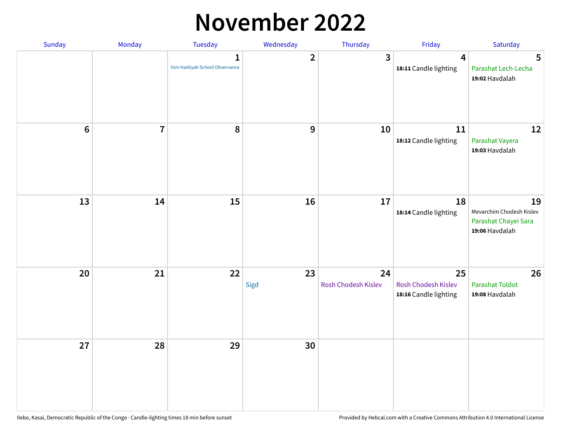#### **November 2022**

| Sunday  | Monday                  | <b>Tuesday</b>                                 | Wednesday      | Thursday                  | Friday                                             | Saturday                                                                 |
|---------|-------------------------|------------------------------------------------|----------------|---------------------------|----------------------------------------------------|--------------------------------------------------------------------------|
|         |                         | $\mathbf{1}$<br>Yom HaAliyah School Observance | $\overline{2}$ | 3                         | $\overline{\mathbf{4}}$<br>18:11 Candle lighting   | 5<br>Parashat Lech-Lecha<br>19:02 Havdalah                               |
| $\bf 6$ | $\overline{\mathbf{7}}$ | 8                                              | 9              | 10                        | 11<br>18:12 Candle lighting                        | 12<br>Parashat Vayera<br>19:03 Havdalah                                  |
| 13      | 14                      | 15                                             | 16             | 17                        | 18<br>18:14 Candle lighting                        | 19<br>Mevarchim Chodesh Kislev<br>Parashat Chayei Sara<br>19:06 Havdalah |
| 20      | 21                      | 22                                             | 23<br>Sigd     | 24<br>Rosh Chodesh Kislev | 25<br>Rosh Chodesh Kislev<br>18:16 Candle lighting | 26<br><b>Parashat Toldot</b><br>19:08 Havdalah                           |
| 27      | 28                      | 29                                             | 30             |                           |                                                    |                                                                          |